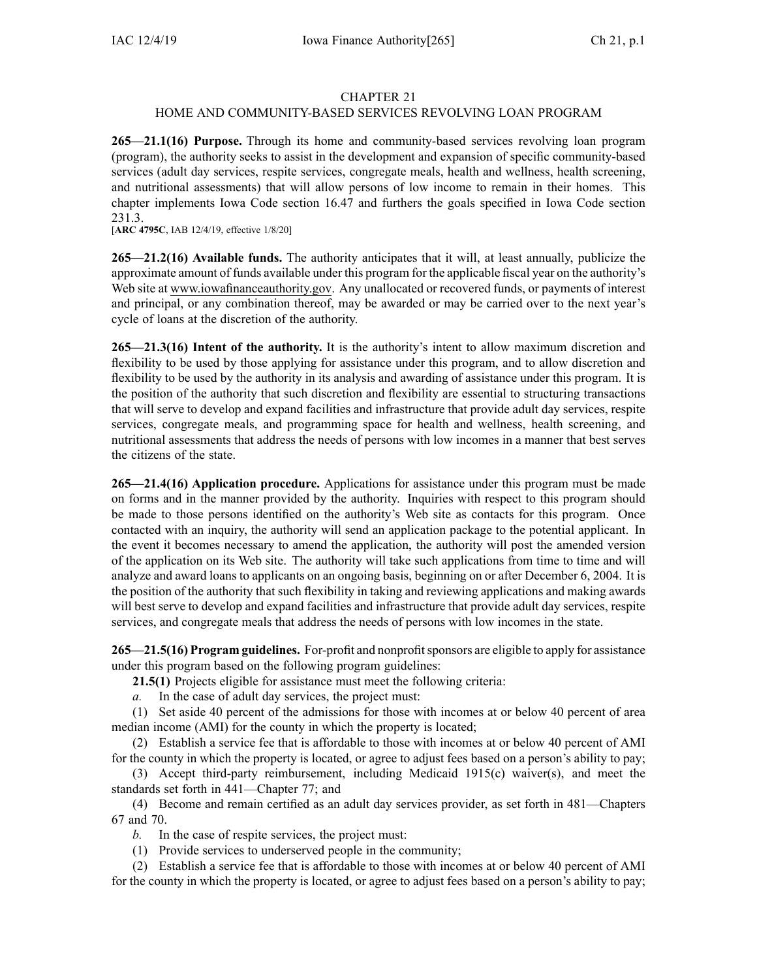## CHAPTER 21

## HOME AND COMMUNITY-BASED SERVICES REVOLVING LOAN PROGRAM

**265—21.1(16) Purpose.** Through its home and community-based services revolving loan program (program), the authority seeks to assist in the development and expansion of specific community-based services (adult day services, respite services, congregate meals, health and wellness, health screening, and nutritional assessments) that will allow persons of low income to remain in their homes. This chapter implements Iowa Code section [16.47](https://www.legis.iowa.gov/docs/ico/section/16.47.pdf) and furthers the goals specified in Iowa Code section [231.3](https://www.legis.iowa.gov/docs/ico/section/231.3.pdf).

[**ARC [4795C](https://www.legis.iowa.gov/docs/aco/arc/4795C.pdf)**, IAB 12/4/19, effective 1/8/20]

**265—21.2(16) Available funds.** The authority anticipates that it will, at least annually, publicize the approximate amount of funds available under this program for the applicable fiscal year on the authority's Web site at www.iowafinanceauthority.gov. Any unallocated or recovered funds, or payments of interest and principal, or any combination thereof, may be awarded or may be carried over to the next year's cycle of loans at the discretion of the authority.

**265—21.3(16) Intent of the authority.** It is the authority's intent to allow maximum discretion and flexibility to be used by those applying for assistance under this program, and to allow discretion and flexibility to be used by the authority in its analysis and awarding of assistance under this program. It is the position of the authority that such discretion and flexibility are essential to structuring transactions that will serve to develop and expand facilities and infrastructure that provide adult day services, respite services, congregate meals, and programming space for health and wellness, health screening, and nutritional assessments that address the needs of persons with low incomes in <sup>a</sup> manner that best serves the citizens of the state.

**265—21.4(16) Application procedure.** Applications for assistance under this program must be made on forms and in the manner provided by the authority. Inquiries with respec<sup>t</sup> to this program should be made to those persons identified on the authority's Web site as contacts for this program. Once contacted with an inquiry, the authority will send an application package to the potential applicant. In the event it becomes necessary to amend the application, the authority will pos<sup>t</sup> the amended version of the application on its Web site. The authority will take such applications from time to time and will analyze and award loans to applicants on an ongoing basis, beginning on or after December 6, 2004. It is the position of the authority that such flexibility in taking and reviewing applications and making awards will best serve to develop and expand facilities and infrastructure that provide adult day services, respite services, and congregate meals that address the needs of persons with low incomes in the state.

**265—21.5(16) Program guidelines.** For-profit and nonprofitsponsors are eligible to apply for assistance under this program based on the following program guidelines:

**21.5(1)** Projects eligible for assistance must meet the following criteria:

*a.* In the case of adult day services, the project must:

(1) Set aside 40 percen<sup>t</sup> of the admissions for those with incomes at or below 40 percen<sup>t</sup> of area median income (AMI) for the county in which the property is located;

(2) Establish <sup>a</sup> service fee that is affordable to those with incomes at or below 40 percen<sup>t</sup> of AMI for the county in which the property is located, or agree to adjust fees based on <sup>a</sup> person's ability to pay;

(3) Accept third-party reimbursement, including Medicaid 1915(c) waiver(s), and meet the standards set forth in [441—Chapter](https://www.legis.iowa.gov/docs/iac/chapter/441.77.pdf) 77; and

(4) Become and remain certified as an adult day services provider, as set forth in [481—Chapters](https://www.legis.iowa.gov/docs/iac/chapter/481.67.pdf) [67](https://www.legis.iowa.gov/docs/iac/chapter/481.67.pdf) and [70](https://www.legis.iowa.gov/docs/iac/chapter/481.70.pdf).

*b.* In the case of respite services, the project must:

(1) Provide services to underserved people in the community;

(2) Establish <sup>a</sup> service fee that is affordable to those with incomes at or below 40 percen<sup>t</sup> of AMI for the county in which the property is located, or agree to adjust fees based on <sup>a</sup> person's ability to pay;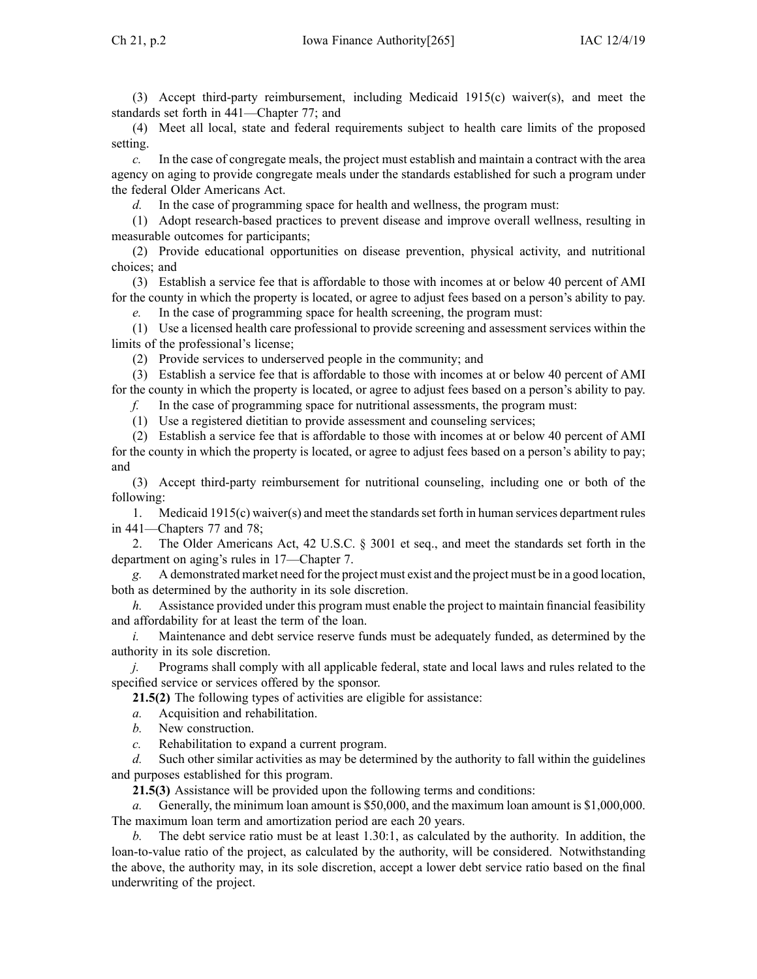(3) Accept third-party reimbursement, including Medicaid 1915(c) waiver(s), and meet the standards set forth in [441—Chapter](https://www.legis.iowa.gov/docs/iac/chapter/441.77.pdf) 77; and

(4) Meet all local, state and federal requirements subject to health care limits of the proposed setting.

*c.* In the case of congregate meals, the project must establish and maintain <sup>a</sup> contract with the area agency on aging to provide congregate meals under the standards established for such <sup>a</sup> program under the federal Older Americans Act.

*d.* In the case of programming space for health and wellness, the program must:

(1) Adopt research-based practices to preven<sup>t</sup> disease and improve overall wellness, resulting in measurable outcomes for participants;

(2) Provide educational opportunities on disease prevention, physical activity, and nutritional choices; and

(3) Establish <sup>a</sup> service fee that is affordable to those with incomes at or below 40 percen<sup>t</sup> of AMI for the county in which the property is located, or agree to adjust fees based on <sup>a</sup> person's ability to pay.

*e.* In the case of programming space for health screening, the program must:

(1) Use <sup>a</sup> licensed health care professional to provide screening and assessment services within the limits of the professional's license;

(2) Provide services to underserved people in the community; and

(3) Establish <sup>a</sup> service fee that is affordable to those with incomes at or below 40 percen<sup>t</sup> of AMI for the county in which the property is located, or agree to adjust fees based on <sup>a</sup> person's ability to pay.

*f.* In the case of programming space for nutritional assessments, the program must:

(1) Use <sup>a</sup> registered dietitian to provide assessment and counseling services;

(2) Establish <sup>a</sup> service fee that is affordable to those with incomes at or below 40 percen<sup>t</sup> of AMI for the county in which the property is located, or agree to adjust fees based on <sup>a</sup> person's ability to pay; and

(3) Accept third-party reimbursement for nutritional counseling, including one or both of the following:

1. Medicaid 1915(c) waiver(s) and meet the standardsset forth in human services department rules in 441—Chapters 77 and 78;

2. The Older Americans Act, 42 U.S.C. § 3001 et seq., and meet the standards set forth in the department on aging's rules in 17—Chapter 7.

*g.* A demonstrated market need for the project must exist and the project must be in <sup>a</sup> good location, both as determined by the authority in its sole discretion.

*h.* Assistance provided under this program must enable the project to maintain financial feasibility and affordability for at least the term of the loan.

*i.* Maintenance and debt service reserve funds must be adequately funded, as determined by the authority in its sole discretion.

*j.* Programs shall comply with all applicable federal, state and local laws and rules related to the specified service or services offered by the sponsor.

**21.5(2)** The following types of activities are eligible for assistance:

- *a.* Acquisition and rehabilitation.
- *b.* New construction.
- *c.* Rehabilitation to expand <sup>a</sup> current program.

*d.* Such other similar activities as may be determined by the authority to fall within the guidelines and purposes established for this program.

**21.5(3)** Assistance will be provided upon the following terms and conditions:

*a.* Generally, the minimum loan amount is \$50,000, and the maximum loan amount is \$1,000,000. The maximum loan term and amortization period are each 20 years.

*b.* The debt service ratio must be at least 1.30:1, as calculated by the authority. In addition, the loan-to-value ratio of the project, as calculated by the authority, will be considered. Notwithstanding the above, the authority may, in its sole discretion, accep<sup>t</sup> <sup>a</sup> lower debt service ratio based on the final underwriting of the project.